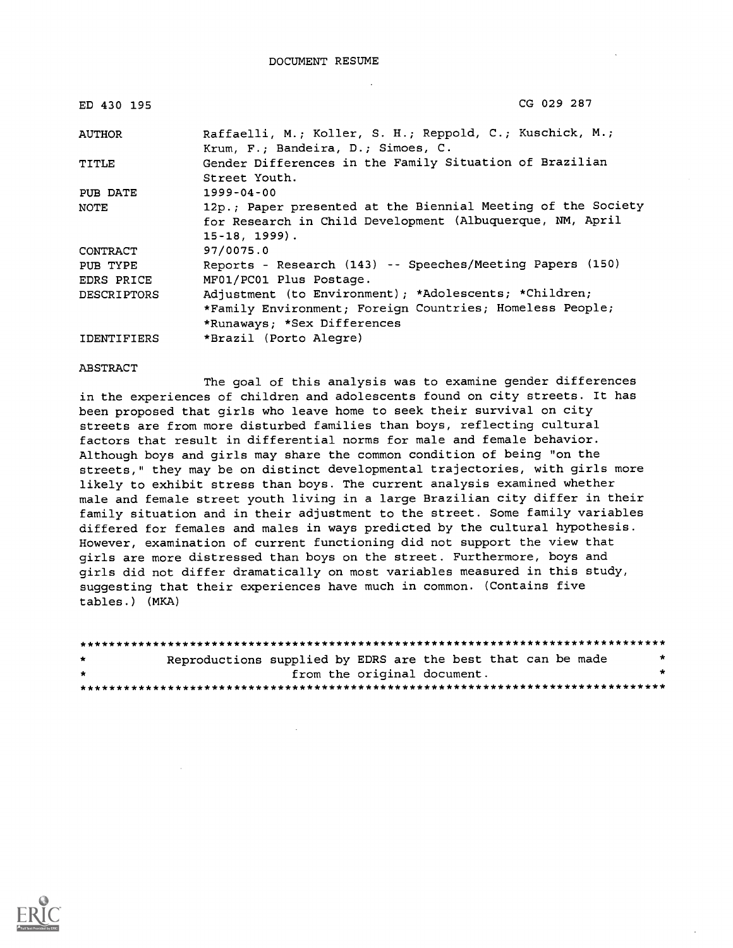| ED 430 195         | CG 029 287                                                                                                                                         |
|--------------------|----------------------------------------------------------------------------------------------------------------------------------------------------|
| AUTHOR             | Raffaelli, M.; Koller, S. H.; Reppold, C.; Kuschick, M.;<br>Krum, F.; Bandeira, D.; Simoes, C.                                                     |
| TITLE              | Gender Differences in the Family Situation of Brazilian<br>Street Youth.                                                                           |
| PUB DATE           | 1999-04-00                                                                                                                                         |
| NOTE               | 12p.; Paper presented at the Biennial Meeting of the Society<br>for Research in Child Development (Albuquerque, NM, April<br>$15 - 18$ , $1999$ ). |
| CONTRACT           | 97/0075.0                                                                                                                                          |
| PUB TYPE           | Reports - Research (143) -- Speeches/Meeting Papers (150)                                                                                          |
| EDRS PRICE         | MF01/PC01 Plus Postage.                                                                                                                            |
| <b>DESCRIPTORS</b> | Adjustment (to Environment); *Adolescents; *Children;                                                                                              |
|                    | *Family Environment; Foreign Countries; Homeless People;                                                                                           |
|                    | *Runaways; *Sex Differences                                                                                                                        |
| <b>IDENTIFIERS</b> | *Brazil (Porto Alegre)                                                                                                                             |

ABSTRACT

The goal of this analysis was to examine gender differences in the experiences of children and adolescents found on city streets. It has been proposed that girls who leave home to seek their survival on city streets are from more disturbed families than boys, reflecting cultural factors that result in differential norms for male and female behavior. Although boys and girls may share the common condition of being "on the streets," they may be on distinct developmental trajectories, with girls more likely to exhibit stress than boys. The current analysis examined whether male and female street youth living in a large Brazilian city differ in their family situation and in their adjustment to the street. Some family variables differed for females and males in ways predicted by the cultural hypothesis. However, examination of current functioning did not support the view that girls are more distressed than boys on the street. Furthermore, boys and girls did not differ dramatically on most variables measured in this study, suggesting that their experiences have much in common. (Contains five tables.) (MKA)

| $\star$ | Reproductions supplied by EDRS are the best that can be made |                             |  |  |  |
|---------|--------------------------------------------------------------|-----------------------------|--|--|--|
| $\star$ |                                                              | from the original document. |  |  |  |
|         |                                                              |                             |  |  |  |

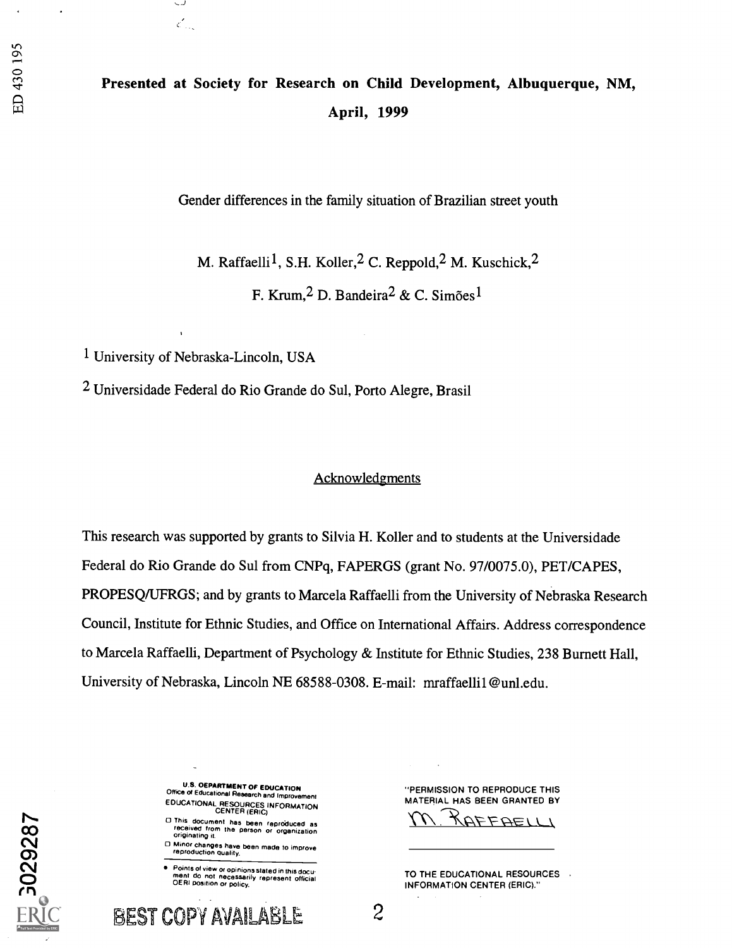# Presented at Society for Research on Child Development, Albuquerque, NM, April, 1999

Gender differences in the family situation of Brazilian street youth

M. Raffaelli<sup>1</sup>, S.H. Koller, <sup>2</sup> C. Reppold, <sup>2</sup> M. Kuschick, <sup>2</sup>

F. Krum,  $2$  D. Bandeira $2 \& C$ . Simões $1$ 

1 University of Nebraska-Lincoln, USA

 $\mathcal{E}_{\text{max}}$ 

2 Universidade Federal do Rio Grande do Sul, Porto Alegre, Brasil

## Acknowledgments

This research was supported by grants to Silvia H. Koller and to students at the Universidade Federal do Rio Grande do Sul from CNPq, FAPERGS (grant No. 97/0075.0), PET/CAPES, PROPESQ/UFRGS; and by grants to Marcela Raffaelli from the University of Nebraska Research Council, Institute for Ethnic Studies, and Office on International Affairs. Address correspondence to Marcela Raffaelli, Department of Psychology & Institute for Ethnic Studies, 238 Burnett Hall, University of Nebraska, Lincoln NE 68588-0308. E-mail: mraffaelli1@unl.edu.

| о<br>t. |
|---------|
|         |
| I       |
|         |
|         |
| ſ       |
|         |
|         |
| ٦       |
|         |

U.S. DEPARTMENT OF EDUCATION Office of Educational Research and Improvement EDUCATIONAL RESOURCES INFORMATION CENTER (ERIC)

- O This document has been reproduced as<br>- received from the person or organization<br>- originating it.
- 0 Minor changes have been made to improve reproduction quality.

Points of view or opinions stated in this docu-<br>ment :do\_not\_necessarily\_represent\_official<br>OERI position or policy.

"PERMISSION TO REPRODUCE THIS MATERIAL HAS BEEN GRANTED BY

RAFFAELLI

TO THE EDUCATIONAL RESOURCES INFORMATION CENTER (ERIC)."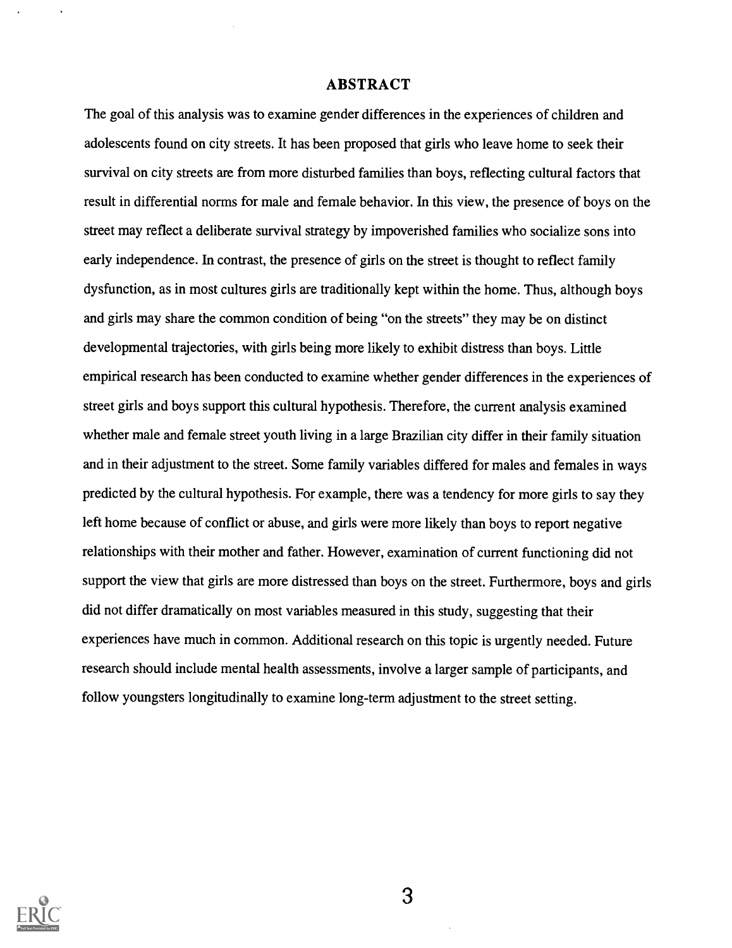## ABSTRACT

The goal of this analysis was to examine gender differences in the experiences of children and adolescents found on city streets. It has been proposed that girls who leave home to seek their survival on city streets are from more disturbed families than boys, reflecting cultural factors that result in differential norms for male and female behavior. In this view, the presence of boys on the street may reflect a deliberate survival strategy by impoverished families who socialize sons into early independence. In contrast, the presence of girls on the street is thought to reflect family dysfunction, as in most cultures girls are traditionally kept within the home. Thus, although boys and girls may share the common condition of being "on the streets" they may be on distinct developmental trajectories, with girls being more likely to exhibit distress than boys. Little empirical research has been conducted to examine whether gender differences in the experiences of street girls and boys support this cultural hypothesis. Therefore, the current analysis examined whether male and female street youth living in a large Brazilian city differ in their family situation and in their adjustment to the street. Some family variables differed for males and females in ways predicted by the cultural hypothesis. For example, there was a tendency for more girls to say they left home because of conflict or abuse, and girls were more likely than boys to report negative relationships with their mother and father. However, examination of current functioning did not support the view that girls are more distressed than boys on the street. Furthermore, boys and girls did not differ dramatically on most variables measured in this study, suggesting that their experiences have much in common. Additional research on this topic is urgently needed. Future research should include mental health assessments, involve a larger sample of participants, and follow youngsters longitudinally to examine long-term adjustment to the street setting.

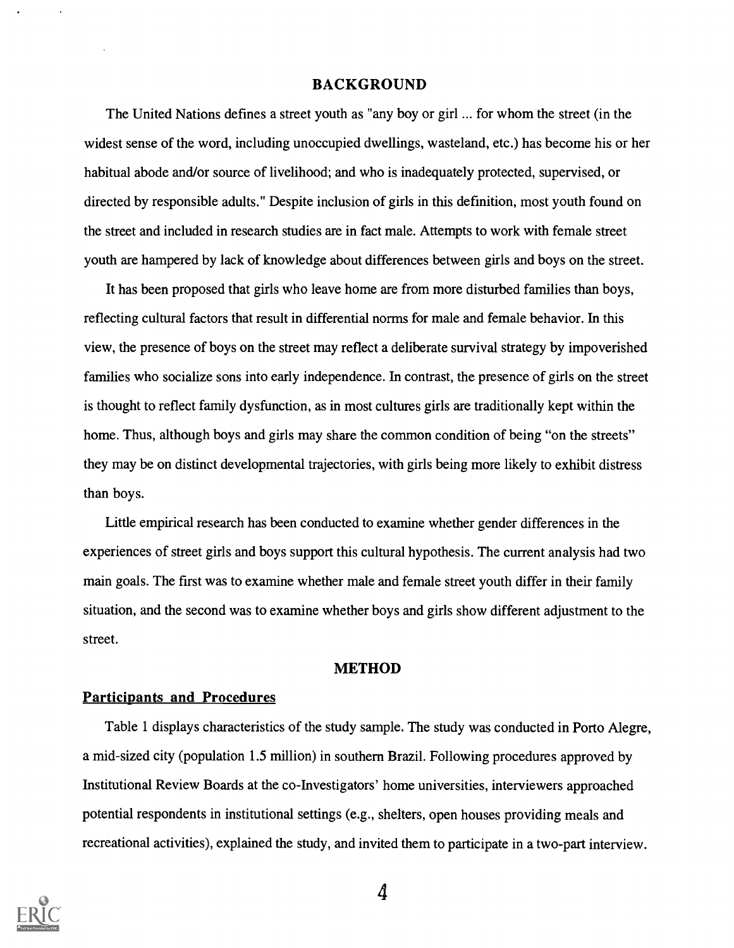## BACKGROUND

The United Nations defines a street youth as "any boy or girl ... for whom the street (in the widest sense of the word, including unoccupied dwellings, wasteland, etc.) has become his or her habitual abode and/or source of livelihood; and who is inadequately protected, supervised, or directed by responsible adults." Despite inclusion of girls in this definition, most youth found on the street and included in research studies are in fact male. Attempts to work with female street youth are hampered by lack of knowledge about differences between girls and boys on the street.

It has been proposed that girls who leave home are from more disturbed families than boys, reflecting cultural factors that result in differential norms for male and female behavior. In this view, the presence of boys on the street may reflect a deliberate survival strategy by impoverished families who socialize sons into early independence. In contrast, the presence of girls on the street is thought to reflect family dysfunction, as in most cultures girls are traditionally kept within the home. Thus, although boys and girls may share the common condition of being "on the streets" they may be on distinct developmental trajectories, with girls being more likely to exhibit distress than boys.

Little empirical research has been conducted to examine whether gender differences in the experiences of street girls and boys support this cultural hypothesis. The current analysis had two main goals. The first was to examine whether male and female street youth differ in their family situation, and the second was to examine whether boys and girls show different adjustment to the street.

### METHOD

### Participants and Procedures

Table 1 displays characteristics of the study sample. The study was conducted in Porto Alegre, a mid-sized city (population 1.5 million) in southern Brazil. Following procedures approved by Institutional Review Boards at the co-Investigators' home universities, interviewers approached potential respondents in institutional settings (e.g., shelters, open houses providing meals and recreational activities), explained the study, and invited them to participate in a two-part interview.



4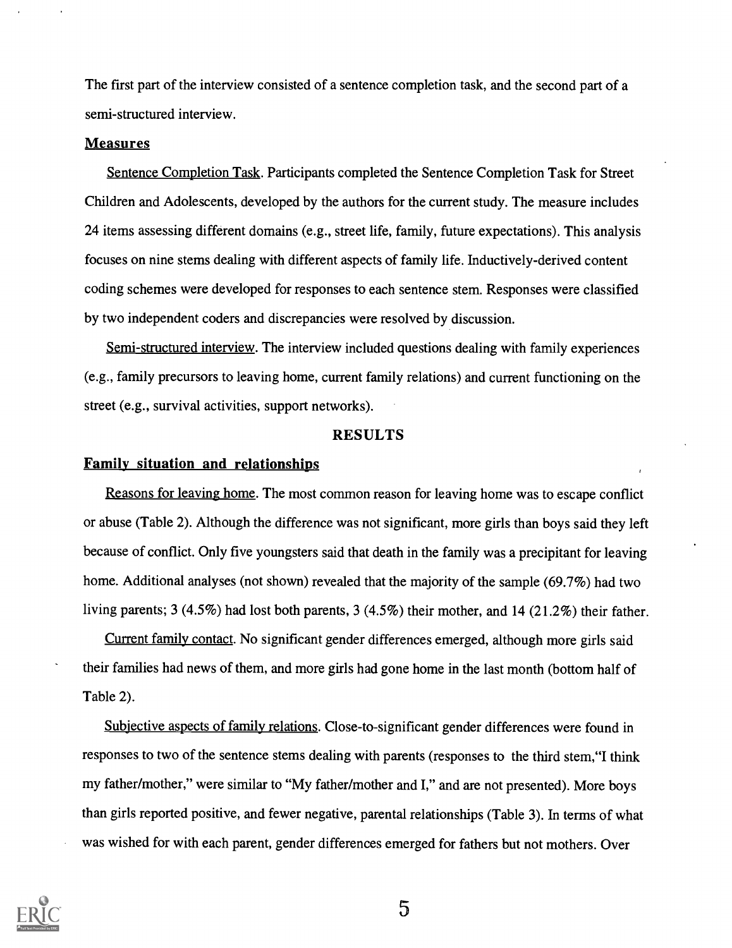The first part of the interview consisted of a sentence completion task, and the second part of a semi-structured interview.

### Measures

Sentence Completion Task. Participants completed the Sentence Completion Task for Street Children and Adolescents, developed by the authors for the current study. The measure includes 24 items assessing different domains (e.g., street life, family, future expectations). This analysis focuses on nine stems dealing with different aspects of family life. Inductively-derived content coding schemes were developed for responses to each sentence stem. Responses were classified by two independent coders and discrepancies were resolved by discussion.

Semi-structured interview. The interview included questions dealing with family experiences (e.g., family precursors to leaving home, current family relations) and current functioning on the street (e.g., survival activities, support networks).

## RESULTS

## Family situation and relationships

Reasons for leaving home. The most common reason for leaving home was to escape conflict or abuse (Table 2). Although the difference was not significant, more girls than boys said they left because of conflict. Only five youngsters said that death in the family was a precipitant for leaving home. Additional analyses (not shown) revealed that the majority of the sample (69.7%) had two living parents; 3 (4.5%) had lost both parents, 3 (4.5%) their mother, and 14 (21.2%) their father.

Current family contact. No significant gender differences emerged, although more girls said their families had news of them, and more girls had gone home in the last month (bottom half of Table 2).

Subiective aspects of family relations. Close-to-significant gender differences were found in responses to two of the sentence stems dealing with parents (responses to the third stem,"I think my father/mother," were similar to "My father/mother and I," and are not presented). More boys than girls reported positive, and fewer negative, parental relationships (Table 3). In terms of what was wished for with each parent, gender differences emerged for fathers but not mothers. Over



5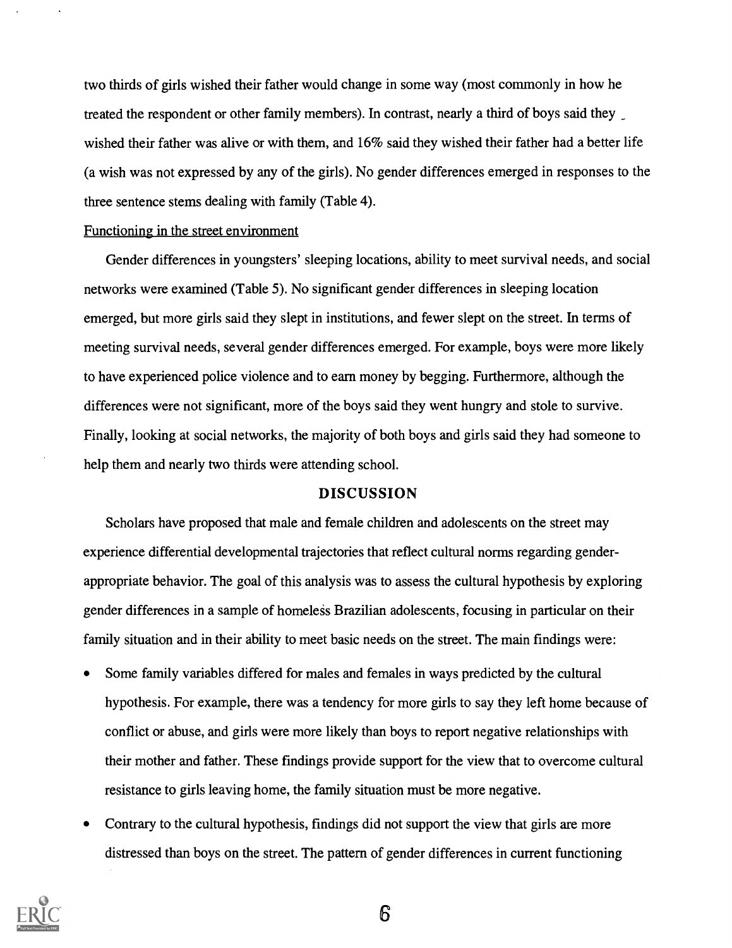two thirds of girls wished their father would change in some way (most commonly in how he treated the respondent or other family members). In contrast, nearly a third of boys said they wished their father was alive or with them, and 16% said they wished their father had a better life (a wish was not expressed by any of the girls). No gender differences emerged in responses to the three sentence stems dealing with family (Table 4).

#### Functioning in the street environment

Gender differences in youngsters' sleeping locations, ability to meet survival needs, and social networks were examined (Table 5). No significant gender differences in sleeping location emerged, but more girls said they slept in institutions, and fewer slept on the street. In terms of meeting survival needs, several gender differences emerged. For example, boys were more likely to have experienced police violence and to earn money by begging. Furthermore, although the differences were not significant, more of the boys said they went hungry and stole to survive. Finally, looking at social networks, the majority of both boys and girls said they had someone to help them and nearly two thirds were attending school.

## DISCUSSION

Scholars have proposed that male and female children and adolescents on the street may experience differential developmental trajectories that reflect cultural norms regarding genderappropriate behavior. The goal of this analysis was to assess the cultural hypothesis by exploring gender differences in a sample of homeless Brazilian adolescents, focusing in particular on their family situation and in their ability to meet basic needs on the street. The main findings were:

- $\bullet$ Some family variables differed for males and females in ways predicted by the cultural hypothesis. For example, there was a tendency for more girls to say they left home because of conflict or abuse, and girls were more likely than boys to report negative relationships with their mother and father. These findings provide support for the view that to overcome cultural resistance to girls leaving home, the family situation must be more negative.
- Contrary to the cultural hypothesis, findings did not support the view that girls are more  $\bullet$ distressed than boys on the street. The pattern of gender differences in current functioning



6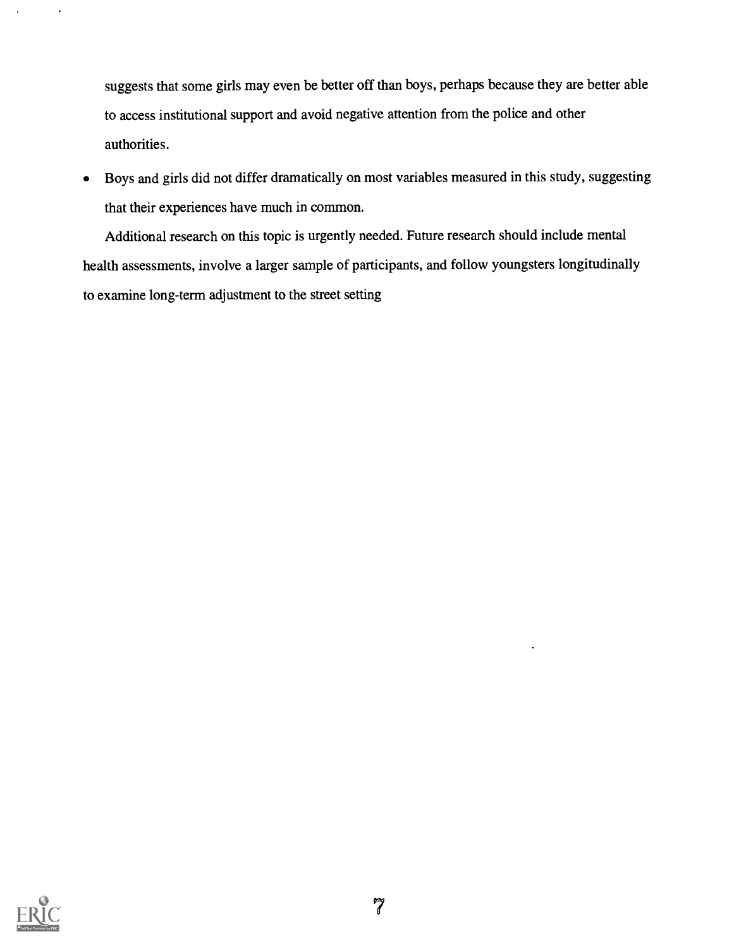suggests that some girls may even be better off than boys, perhaps because they are better able to access institutional support and avoid negative attention from the police and other authorities.

Boys and girls did not differ dramatically on most variables measured in this study, suggesting  $\bullet$ that their experiences have much in common.

Additional research on this topic is urgently needed. Future research should include mental health assessments, involve a larger sample of participants, and follow youngsters longitudinally to examine long-term adjustment to the street setting

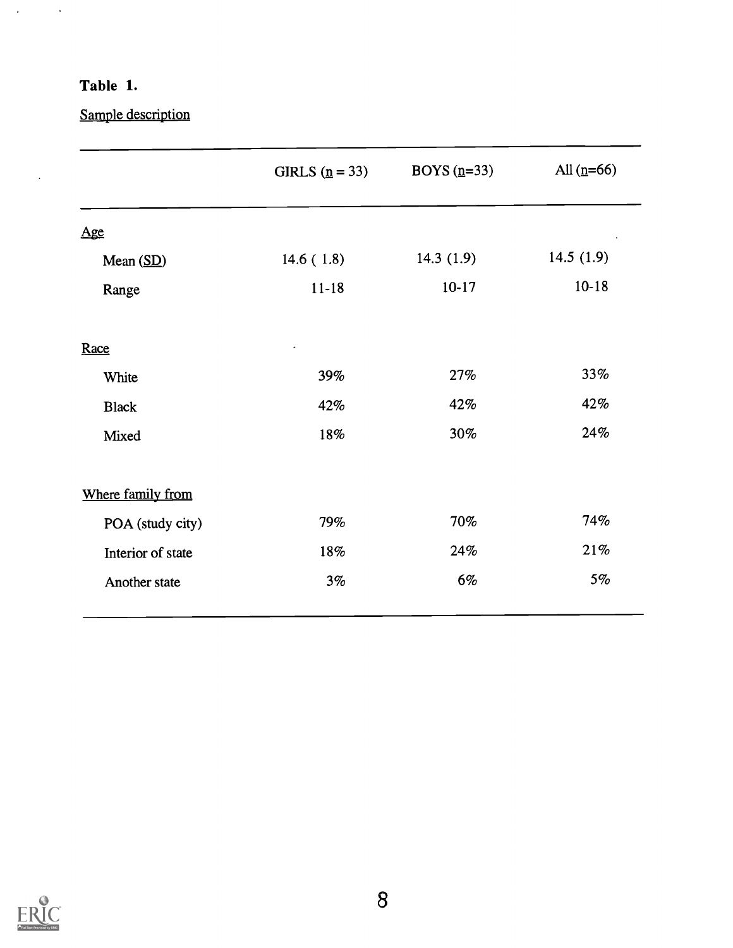# Table 1.

 $\Delta \phi = 0.001$ 

 $\ddot{\phantom{0}}$ 

Sample description

|                   | GIRLS $(p = 33)$ | BOYS $(n=33)$ | All $(n=66)$ |
|-------------------|------------------|---------------|--------------|
| Age               |                  |               |              |
| Mean $(SD)$       | 14.6(1.8)        | 14.3 $(1.9)$  | 14.5 $(1.9)$ |
| Range             | $11 - 18$        | $10-17$       | $10 - 18$    |
| Race              |                  |               |              |
| White             | 39%              | 27%           | 33%          |
| <b>Black</b>      | 42%              | 42%           | 42%          |
| Mixed             | 18%              | 30%           | 24%          |
| Where family from |                  |               |              |
| POA (study city)  | 79%              | 70%           | 74%          |
| Interior of state | 18%              | 24%           | 21%          |
| Another state     | 3%               | 6%            | 5%           |

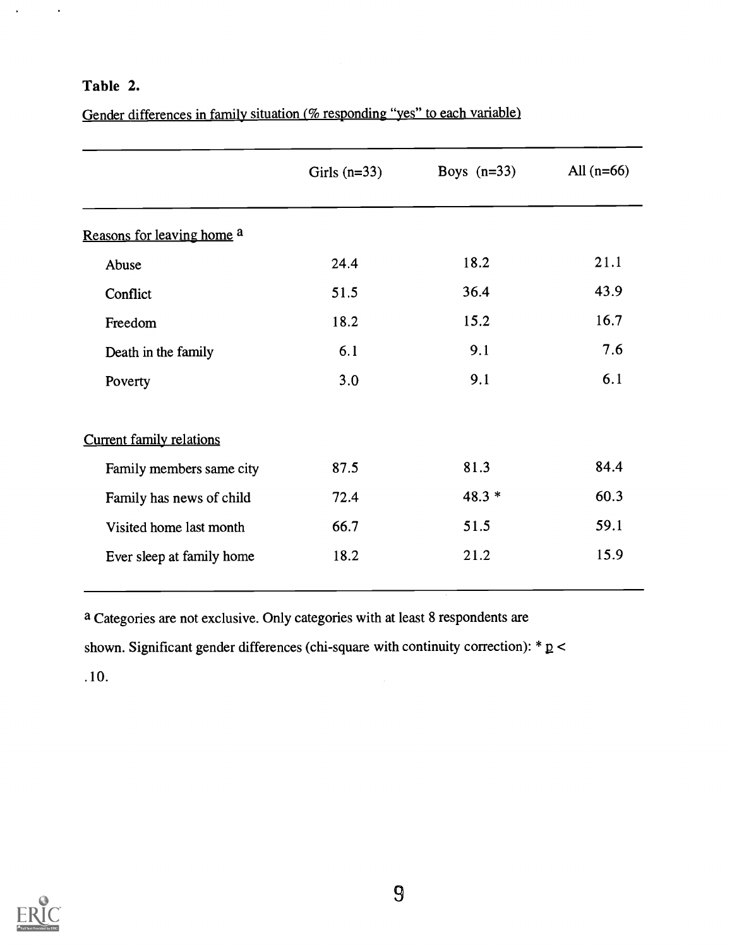## Table 2.

 $\ddot{\phantom{1}}$ 

Gender differences in family situation (% responding "yes" to each variable)

|                                 | Girls $(n=33)$ | Boys $(n=33)$ | All $(n=66)$ |
|---------------------------------|----------------|---------------|--------------|
| Reasons for leaving home a      |                |               |              |
| Abuse                           | 24.4           | 18.2          | 21.1         |
| Conflict                        | 51.5           | 36.4          | 43.9         |
| Freedom                         | 18.2           | 15.2          | 16.7         |
| Death in the family             | 6.1            | 9.1           | 7.6          |
| Poverty                         | 3.0            | 9.1           | 6.1          |
| <b>Current family relations</b> |                |               |              |
| Family members same city        | 87.5           | 81.3          | 84.4         |
| Family has news of child        | 72.4           | $48.3*$       | 60.3         |
| Visited home last month         | 66.7           | 51.5          | 59.1         |
| Ever sleep at family home       | 18.2           | 21.2          | 15.9         |

a Categories are not exclusive. Only categories with at least 8 respondents are shown. Significant gender differences (chi-square with continuity correction):  $* p <$ . 10.

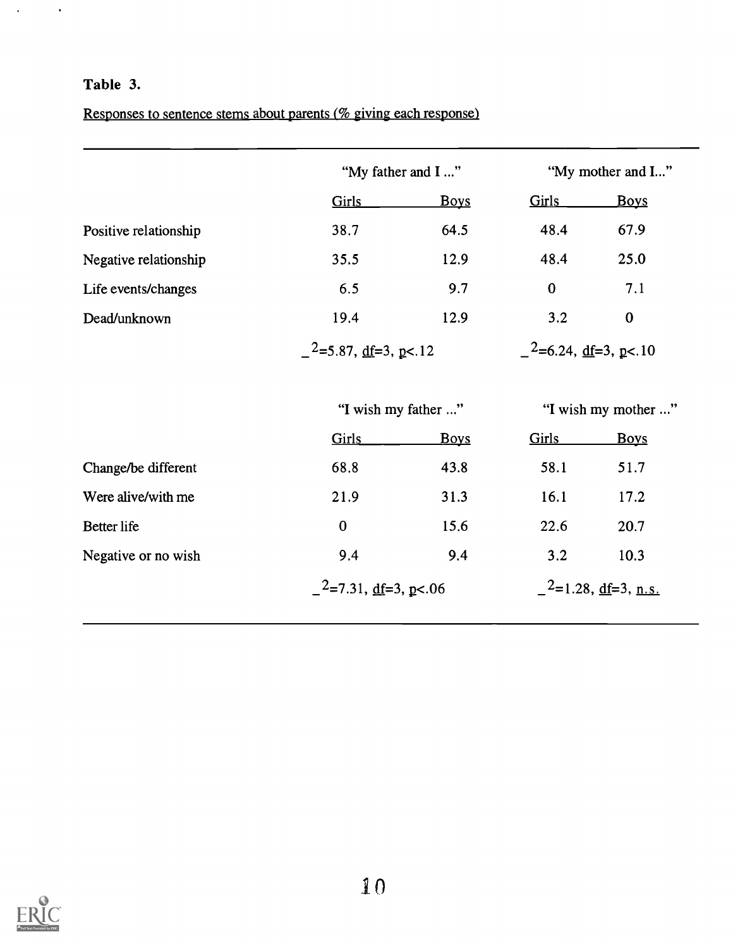# Table 3.

 $\Delta \phi = 0.01$ 

Responses to sentence stems about parents (% giving each response)

|                       | "My father and I"                           |                     | "My mother and I"                           |                       |
|-----------------------|---------------------------------------------|---------------------|---------------------------------------------|-----------------------|
|                       | Girls                                       | <b>Boys</b>         | <b>Girls</b>                                | <b>Boys</b>           |
| Positive relationship | 38.7                                        | 64.5                | 48.4                                        | 67.9                  |
| Negative relationship | 35.5                                        | 12.9                | 48.4                                        | 25.0                  |
| Life events/changes   | 6.5                                         | 9.7                 | $\bf{0}$                                    | 7.1                   |
| Dead/unknown          | 19.4                                        | 12.9                | 3.2                                         | $\bf{0}$              |
|                       | $-$ <sup>2</sup> =5.87, <u>df</u> =3, p<.12 |                     | $-$ <sup>2</sup> =6.24, <u>df</u> =3, p<.10 |                       |
|                       |                                             | "I wish my father " |                                             | "I wish my mother "   |
|                       | <b>Girls</b>                                | <b>Boys</b>         | <b>Girls</b>                                | <b>Boys</b>           |
| Change/be different   | 68.8                                        | 43.8                | 58.1                                        | 51.7                  |
| Were alive/with me    | 21.9                                        | 31.3                | 16.1                                        | 17.2                  |
| Better life           | $\bf{0}$                                    | 15.6                | 22.6                                        | 20.7                  |
| Negative or no wish   | 9.4                                         | 9.4                 | 3.2                                         | 10.3                  |
|                       | $2$ =7.31, <u>df</u> =3, <u>p</u> <.06      |                     |                                             | $2$ =1.28, df=3, n.s. |

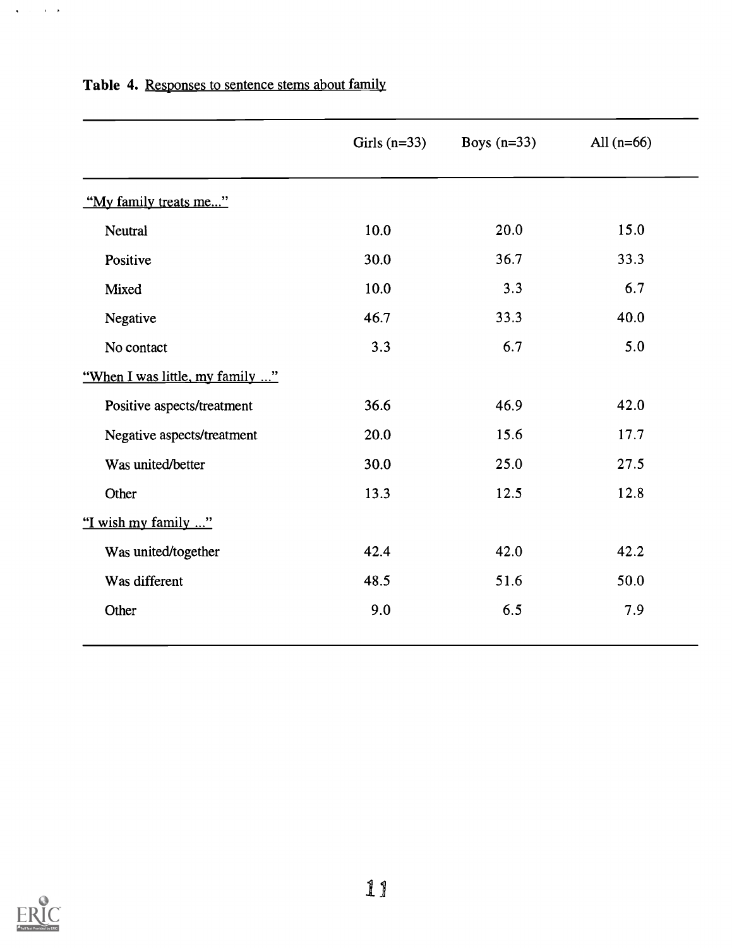|                                 | Girls $(n=33)$ | Boys $(n=33)$ | All $(n=66)$ |
|---------------------------------|----------------|---------------|--------------|
| "My family treats me"           |                |               |              |
| Neutral                         | 10.0           | 20.0          | 15.0         |
| Positive                        | 30.0           | 36.7          | 33.3         |
| Mixed                           | 10.0           | 3.3           | 6.7          |
| Negative                        | 46.7           | 33.3          | 40.0         |
| No contact                      | 3.3            | 6.7           | 5.0          |
| "When I was little, my family " |                |               |              |
| Positive aspects/treatment      | 36.6           | 46.9          | 42.0         |
| Negative aspects/treatment      | 20.0           | 15.6          | 17.7         |
| Was united/better               | 30.0           | 25.0          | 27.5         |
| Other                           | 13.3           | 12.5          | 12.8         |
| "I wish my family "             |                |               |              |
| Was united/together             | 42.4           | 42.0          | 42.2         |
| Was different                   | 48.5           | 51.6          | 50.0         |
| Other                           | 9.0            | 6.5           | 7.9          |

# Table 4. Responses to sentence stems about family



 $\Delta$  ,  $\Delta$  ,  $\Delta$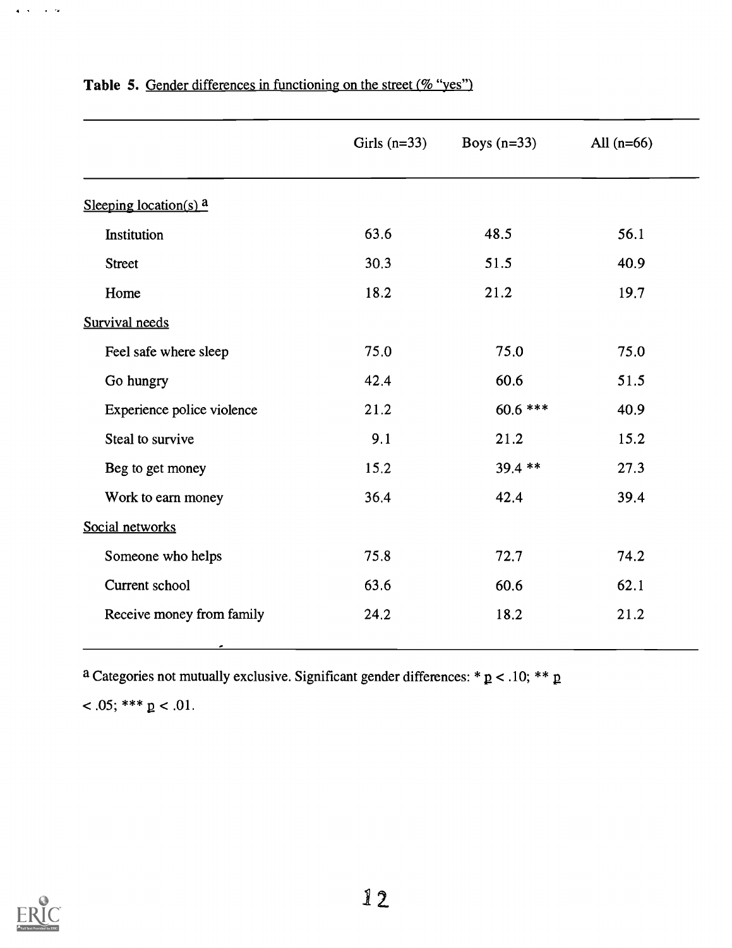|                            | Girls $(n=33)$ | Boys $(n=33)$ | All $(n=66)$ |
|----------------------------|----------------|---------------|--------------|
| Sleeping location(s) $a$   |                |               |              |
| Institution                | 63.6           | 48.5          | 56.1         |
| <b>Street</b>              | 30.3           | 51.5          | 40.9         |
| Home                       | 18.2           | 21.2          | 19.7         |
| Survival needs             |                |               |              |
| Feel safe where sleep      | 75.0           | 75.0          | 75.0         |
| Go hungry                  | 42.4           | 60.6          | 51.5         |
| Experience police violence | 21.2           | $60.6$ ***    | 40.9         |
| Steal to survive           | 9.1            | 21.2          | 15.2         |
| Beg to get money           | 15.2           | 39.4 **       | 27.3         |
| Work to earn money         | 36.4           | 42.4          | 39.4         |
| Social networks            |                |               |              |
| Someone who helps          | 75.8           | 72.7          | 74.2         |
| Current school             | 63.6           | 60.6          | 62.1         |
| Receive money from family  | 24.2           | 18.2          | 21.2         |

# Table 5. Gender differences in functioning on the street (% "yes")

a Categories not mutually exclusive. Significant gender differences: \*  $p$  < .10; \*\*  $p$ 

$$
<.05; ***p <.01.
$$



 $\mathbf{q}^{\dagger}$  ,  $\mathbf{q}^{\dagger}$  ,  $\mathbf{q}^{\dagger}$  ,  $\mathbf{q}^{\dagger}$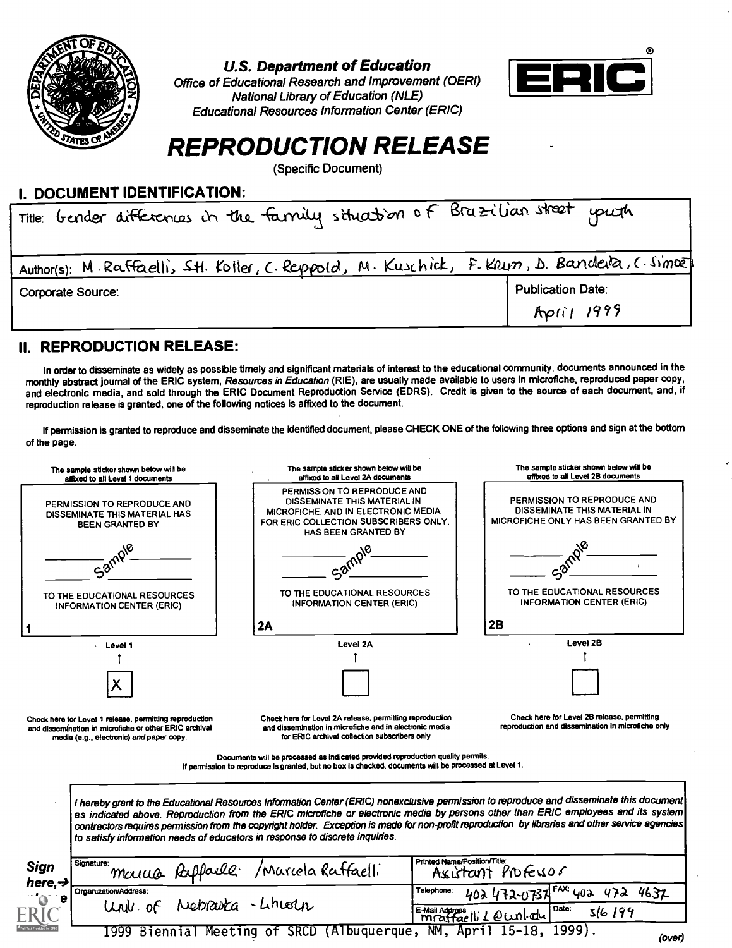

## U.S. Department of Education

Office of Educational Research and Improvement (OERI) National Library of Education (NLE) Educational Resources Information Center (ERIC)



# REPRODUCTION RELEASE

(Specific Document)

| I. DOCUMENT IDENTIFICATION:                                                                   |                          |
|-----------------------------------------------------------------------------------------------|--------------------------|
| Title: Gender differences in the family situation of Brazilian street youth                   |                          |
|                                                                                               |                          |
| Author(s): M. Raffaelli, Stl. Koller, C. Reppold, M. Kuschick, F. Krun, D. Banderla, C. Simoz |                          |
| Corporate Source:                                                                             | <b>Publication Date:</b> |
|                                                                                               | April 1999               |

## II. REPRODUCTION RELEASE:

In order to disseminate as widely as possible timely and significant materials of interest to the educational community, documents announced in the monthly abstract journal of the ERIC system, Resources in Education (RIE), are usually made available to users in microfiche, reproduced paper copy, and electronic media, and sold through the ERIC Document Reproduction Service (EDRS). Credit is given to the source of each document, and, if reproduction release is granted, one of the following notices is affixed to the document.

If permission is granted to reproduce and disseminate the identified document, please CHECK ONE of the following three options and sign at the bottom of the page.

| The sample sticker shown below will be<br>affixed to all Level 1 documents                                                                                    | The sample sticker shown below will be<br>affixed to all Level 2A documents                                                                                                                                                                                                                                                                                                                                                       | The sample sticker shown below will be<br>affixed to all Level 2B documents                               |  |
|---------------------------------------------------------------------------------------------------------------------------------------------------------------|-----------------------------------------------------------------------------------------------------------------------------------------------------------------------------------------------------------------------------------------------------------------------------------------------------------------------------------------------------------------------------------------------------------------------------------|-----------------------------------------------------------------------------------------------------------|--|
| PERMISSION TO REPRODUCE AND<br>DISSEMINATE THIS MATERIAL HAS<br><b>BEEN GRANTED BY</b>                                                                        | PERMISSION TO REPRODUCE AND<br>DISSEMINATE THIS MATERIAL IN<br>MICROFICHE, AND IN ELECTRONIC MEDIA<br>FOR ERIC COLLECTION SUBSCRIBERS ONLY.<br>HAS BEEN GRANTED BY                                                                                                                                                                                                                                                                | <b>PERMISSION TO REPRODUCE AND</b><br>DISSEMINATE THIS MATERIAL IN<br>MICROFICHE ONLY HAS BEEN GRANTED BY |  |
| Sam                                                                                                                                                           |                                                                                                                                                                                                                                                                                                                                                                                                                                   |                                                                                                           |  |
| TO THE EDUCATIONAL RESOURCES<br><b>INFORMATION CENTER (ERIC)</b>                                                                                              | TO THE EDUCATIONAL RESOURCES<br><b>INFORMATION CENTER (ERIC)</b>                                                                                                                                                                                                                                                                                                                                                                  | TO THE EDUCATIONAL RESOURCES<br><b>INFORMATION CENTER (ERIC)</b>                                          |  |
|                                                                                                                                                               | 2A                                                                                                                                                                                                                                                                                                                                                                                                                                | 2B                                                                                                        |  |
| $\cdot$ Level 1                                                                                                                                               | Level 2A                                                                                                                                                                                                                                                                                                                                                                                                                          | Level 2B                                                                                                  |  |
|                                                                                                                                                               |                                                                                                                                                                                                                                                                                                                                                                                                                                   |                                                                                                           |  |
|                                                                                                                                                               |                                                                                                                                                                                                                                                                                                                                                                                                                                   |                                                                                                           |  |
| Check here for Level 1 release, permitting reproduction<br>and dissemination in microfiche or other ERIC archival<br>media (e.g., electronic) and paper copy. | Check here for Level 2A release, permitting reproduction<br>and dissemination in microfiche and in alectronic media<br>for ERIC archival collection subscribers only                                                                                                                                                                                                                                                              | Check here for Level 2B release, permitting<br>reproduction and dissemination in microfiche only          |  |
|                                                                                                                                                               | Documents will be processed as indicated provided reproduction quality permits.<br>If permission to reproduce is granted, but no box is checked, documents will be processed at Level 1.                                                                                                                                                                                                                                          |                                                                                                           |  |
|                                                                                                                                                               |                                                                                                                                                                                                                                                                                                                                                                                                                                   |                                                                                                           |  |
| to satisfy information needs of educators in response to discrete inquiries.                                                                                  | I hereby grant to the Educational Resources Information Center (ERIC) nonexclusive permission to reproduce and disseminate this document<br>as indicated above. Reproduction from the ERIC microfiche or electronic media by persons other than ERIC employees and its system<br>contractors requires permission from the copyright holder. Exception is made for non-profit reproduction by libraries and other service agencies |                                                                                                           |  |
| Signature:                                                                                                                                                    | Printed Name/Position/Title:                                                                                                                                                                                                                                                                                                                                                                                                      | Assistant Professor                                                                                       |  |
| Sign<br>here.-<br>Organization/Address:<br>Univ. of                                                                                                           | manus Ruffaile / Marcela Raffaelli<br>Telephone:<br>Nebrauta - Lincoln                                                                                                                                                                                                                                                                                                                                                            | 402 472-0737 FAX: 402 472<br>4632<br>Date:<br>E-Mail Address:<br>mraffaelli 1 @ wnl.edu<br>516194         |  |